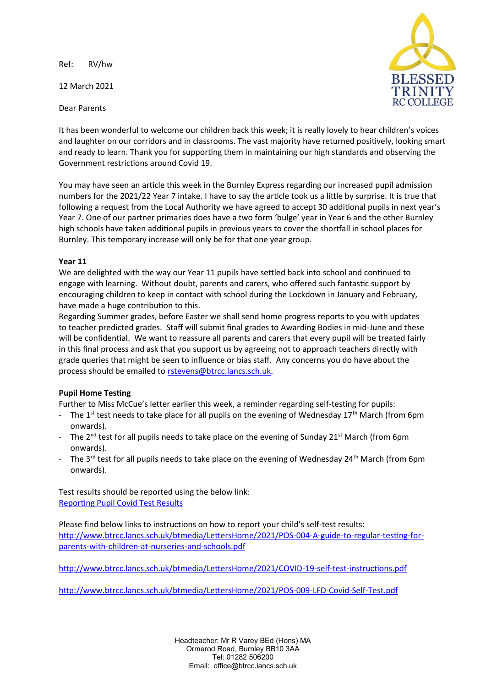Ref: RV/hw

12 March 2021

Dear Parents



It has been wonderful to welcome our children back this week; it is really lovely to hear children's voices and laughter on our corridors and in classrooms. The vast majority have returned positively, looking smart and ready to learn. Thank you for supporting them in maintaining our high standards and observing the Government restrictions around Covid 19.

You may have seen an article this week in the Burnley Express regarding our increased pupil admission numbers for the 2021/22 Year 7 intake. I have to say the article took us a little by surprise. It is true that following a request from the Local Authority we have agreed to accept 30 additional pupils in next year's Year 7. One of our partner primaries does have a two form 'bulge' year in Year 6 and the other Burnley high schools have taken additional pupils in previous years to cover the shortfall in school places for Burnley. This temporary increase will only be for that one year group.

## **Year 11**

We are delighted with the way our Year 11 pupils have settled back into school and continued to engage with learning. Without doubt, parents and carers, who offered such fantastic support by encouraging children to keep in contact with school during the Lockdown in January and February, have made a huge contribution to this.

Regarding Summer grades, before Easter we shall send home progress reports to you with updates to teacher predicted grades. Staff will submit final grades to Awarding Bodies in mid-June and these will be confidential. We want to reassure all parents and carers that every pupil will be treated fairly in this final process and ask that you support us by agreeing not to approach teachers directly with grade queries that might be seen to influence or bias staff. Any concerns you do have about the process should be emailed to [rstevens@btrcc.lancs.sch.uk.](mailto:rstevens@btrcc.lancs.sch.uk)

## **Pupil Home Testing**

Further to Miss McCue's letter earlier this week, a reminder regarding self-testing for pupils:

- The 1<sup>st</sup> test needs to take place for all pupils on the evening of Wednesday 17<sup>th</sup> March (from 6pm onwards).
- The 2<sup>nd</sup> test for all pupils needs to take place on the evening of Sunday 21<sup>st</sup> March (from 6pm onwards).
- The 3<sup>rd</sup> test for all pupils needs to take place on the evening of Wednesday 24<sup>th</sup> March (from 6pm onwards).

Test results should be reported using the below link: [Reporting Pupil Covid Test Results](https://forms.office.com/Pages/ResponsePage.aspx?id=xfsMUvH8MU6AWufP-sj0Kqvu0Jdn485Gvf8E4KsMZ45UMjZYU0VKMkhOV0NZTUNQNzEyMkhRRjVPWC4u)

Please find below links to instructions on how to report your child's self-test results: [http://www.btrcc.lancs.sch.uk/btmedia/LettersHome/2021/POS-004-A-guide-to-regular-testing-for](http://www.btrcc.lancs.sch.uk/btmedia/LettersHome/2021/POS-004-A-guide-to-regular-testing-for-parents-with-children-at-nurseries-and-schools.pdf)[parents-with-children-at-nurseries-and-schools.pdf](http://www.btrcc.lancs.sch.uk/btmedia/LettersHome/2021/POS-004-A-guide-to-regular-testing-for-parents-with-children-at-nurseries-and-schools.pdf)

<http://www.btrcc.lancs.sch.uk/btmedia/LettersHome/2021/COVID-19-self-test-instructions.pdf>

<http://www.btrcc.lancs.sch.uk/btmedia/LettersHome/2021/POS-009-LFD-Covid-Self-Test.pdf>